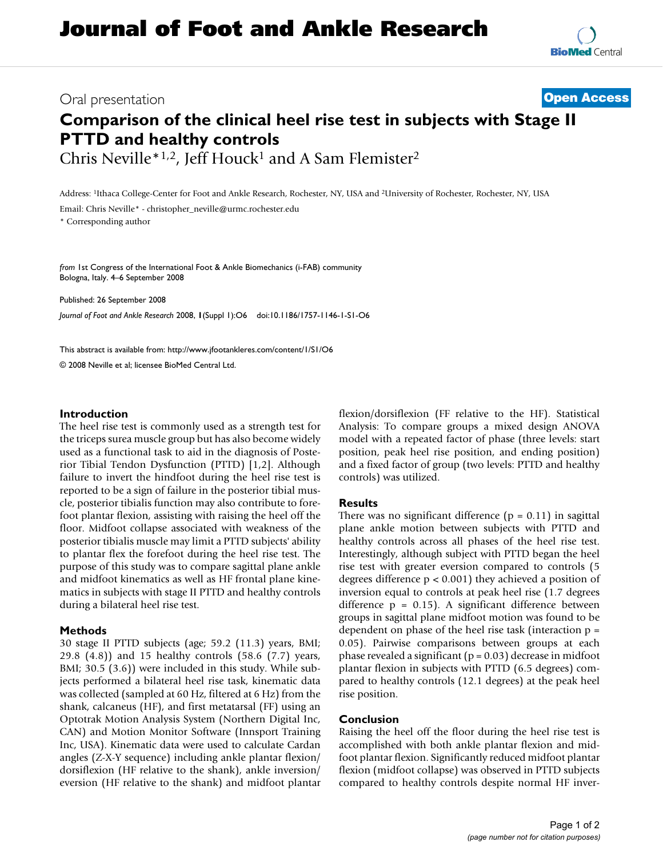# Oral presentation **[Open Access](http://www.biomedcentral.com/info/about/charter/)**

# **Comparison of the clinical heel rise test in subjects with Stage II PTTD and healthy controls** Chris Neville\*1,2, Jeff Houck<sup>1</sup> and A Sam Flemister<sup>2</sup>

Address: 1Ithaca College-Center for Foot and Ankle Research, Rochester, NY, USA and 2University of Rochester, Rochester, NY, USA

Email: Chris Neville\* - christopher\_neville@urmc.rochester.edu

\* Corresponding author

*from* 1st Congress of the International Foot & Ankle Biomechanics (i-FAB) community Bologna, Italy. 4–6 September 2008

Published: 26 September 2008

*Journal of Foot and Ankle Research* 2008, **1**(Suppl 1):O6 doi:10.1186/1757-1146-1-S1-O6

[This abstract is available from: http://www.jfootankleres.com/content/1/S1/O6](http://www.jfootankleres.com/content/1/S1/O6)

© 2008 Neville et al; licensee BioMed Central Ltd.

### **Introduction**

The heel rise test is commonly used as a strength test for the triceps surea muscle group but has also become widely used as a functional task to aid in the diagnosis of Posterior Tibial Tendon Dysfunction (PTTD) [1,2]. Although failure to invert the hindfoot during the heel rise test is reported to be a sign of failure in the posterior tibial muscle, posterior tibialis function may also contribute to forefoot plantar flexion, assisting with raising the heel off the floor. Midfoot collapse associated with weakness of the posterior tibialis muscle may limit a PTTD subjects' ability to plantar flex the forefoot during the heel rise test. The purpose of this study was to compare sagittal plane ankle and midfoot kinematics as well as HF frontal plane kinematics in subjects with stage II PTTD and healthy controls during a bilateral heel rise test.

#### **Methods**

30 stage II PTTD subjects (age; 59.2 (11.3) years, BMI; 29.8 (4.8)) and 15 healthy controls (58.6 (7.7) years, BMI; 30.5 (3.6)) were included in this study. While subjects performed a bilateral heel rise task, kinematic data was collected (sampled at 60 Hz, filtered at 6 Hz) from the shank, calcaneus (HF), and first metatarsal (FF) using an Optotrak Motion Analysis System (Northern Digital Inc, CAN) and Motion Monitor Software (Innsport Training Inc, USA). Kinematic data were used to calculate Cardan angles (Z-X-Y sequence) including ankle plantar flexion/ dorsiflexion (HF relative to the shank), ankle inversion/ eversion (HF relative to the shank) and midfoot plantar flexion/dorsiflexion (FF relative to the HF). Statistical Analysis: To compare groups a mixed design ANOVA model with a repeated factor of phase (three levels: start position, peak heel rise position, and ending position) and a fixed factor of group (two levels: PTTD and healthy controls) was utilized.

#### **Results**

There was no significant difference  $(p = 0.11)$  in sagittal plane ankle motion between subjects with PTTD and healthy controls across all phases of the heel rise test. Interestingly, although subject with PTTD began the heel rise test with greater eversion compared to controls (5 degrees difference p < 0.001) they achieved a position of inversion equal to controls at peak heel rise (1.7 degrees difference  $p = 0.15$ . A significant difference between groups in sagittal plane midfoot motion was found to be dependent on phase of the heel rise task (interaction p = 0.05). Pairwise comparisons between groups at each phase revealed a significant ( $p = 0.03$ ) decrease in midfoot plantar flexion in subjects with PTTD (6.5 degrees) compared to healthy controls (12.1 degrees) at the peak heel rise position.

#### **Conclusion**

Raising the heel off the floor during the heel rise test is accomplished with both ankle plantar flexion and midfoot plantar flexion. Significantly reduced midfoot plantar flexion (midfoot collapse) was observed in PTTD subjects compared to healthy controls despite normal HF inver